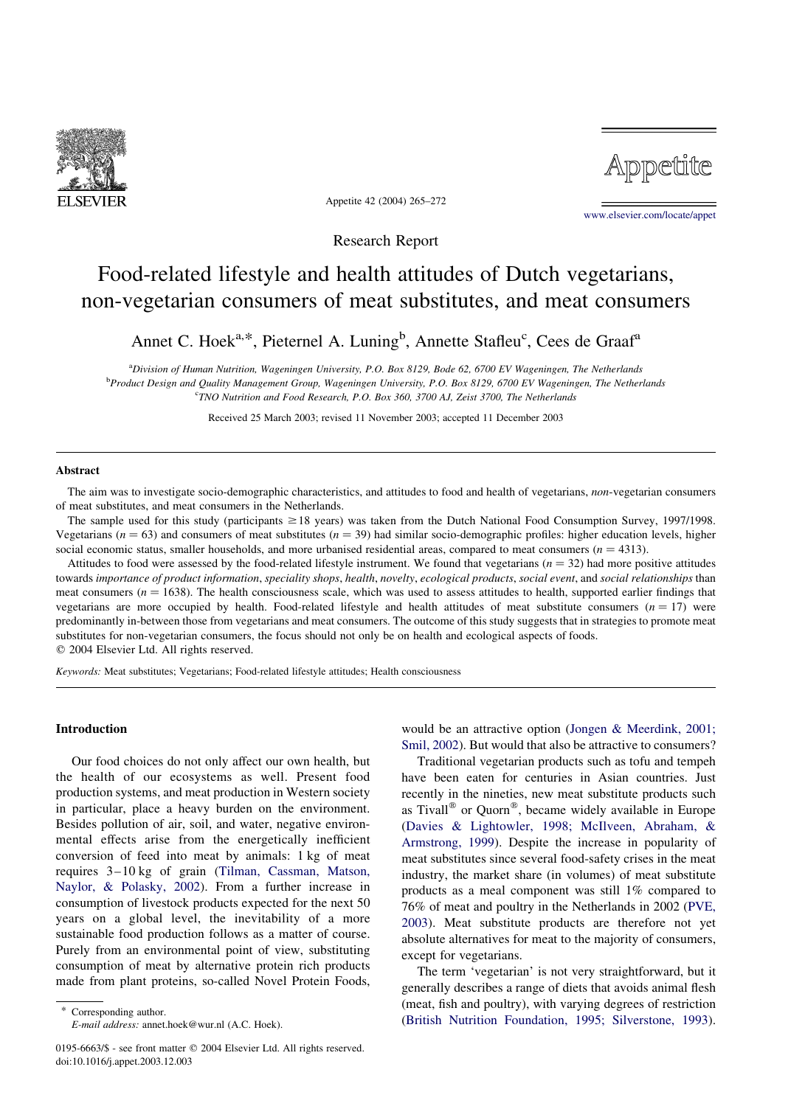

Appetite

Appetite 42 (2004) 265–272

[www.elsevier.com/locate/appet](http://www.elsevier.com/locate/appet)

Research Report

# Food-related lifestyle and health attitudes of Dutch vegetarians, non-vegetarian consumers of meat substitutes, and meat consumers

Annet C. Hoek<sup>a,\*</sup>, Pieternel A. Luning<sup>b</sup>, Annette Stafleu<sup>c</sup>, Cees de Graaf<sup>a</sup>

a Division of Human Nutrition, Wageningen University, P.O. Box 8129, Bode 62, 6700 EV Wageningen, The Netherlands **bProduct Design and Quality Management Group, Wageningen University, P.O. Box 8129, 6700 EV Wageningen, The Netherlands** <sup>c</sup>TNO Nutrition and Food Research, P.O. Box 360, 3700 AJ, Zeist 3700, The Netherlands

Received 25 March 2003; revised 11 November 2003; accepted 11 December 2003

### Abstract

The aim was to investigate socio-demographic characteristics, and attitudes to food and health of vegetarians, non-vegetarian consumers of meat substitutes, and meat consumers in the Netherlands.

The sample used for this study (participants  $\geq$  18 years) was taken from the Dutch National Food Consumption Survey, 1997/1998. Vegetarians  $(n = 63)$  and consumers of meat substitutes  $(n = 39)$  had similar socio-demographic profiles: higher education levels, higher social economic status, smaller households, and more urbanised residential areas, compared to meat consumers  $(n = 4313)$ .

Attitudes to food were assessed by the food-related lifestyle instrument. We found that vegetarians  $(n = 32)$  had more positive attitudes towards importance of product information, speciality shops, health, novelty, ecological products, social event, and social relationships than meat consumers  $(n = 1638)$ . The health consciousness scale, which was used to assess attitudes to health, supported earlier findings that vegetarians are more occupied by health. Food-related lifestyle and health attitudes of meat substitute consumers  $(n = 17)$  were predominantly in-between those from vegetarians and meat consumers. The outcome of this study suggests that in strategies to promote meat substitutes for non-vegetarian consumers, the focus should not only be on health and ecological aspects of foods.  $© 2004 Elsevier Ltd. All rights reserved.$ 

Keywords: Meat substitutes; Vegetarians; Food-related lifestyle attitudes; Health consciousness

## Introduction

Our food choices do not only affect our own health, but the health of our ecosystems as well. Present food production systems, and meat production in Western society in particular, place a heavy burden on the environment. Besides pollution of air, soil, and water, negative environmental effects arise from the energetically inefficient conversion of feed into meat by animals: 1 kg of meat requires 3–10 kg of grain ([Tilman, Cassman, Matson,](#page-7-0) [Naylor, & Polasky, 2002](#page-7-0)). From a further increase in consumption of livestock products expected for the next 50 years on a global level, the inevitability of a more sustainable food production follows as a matter of course. Purely from an environmental point of view, substituting consumption of meat by alternative protein rich products made from plant proteins, so-called Novel Protein Foods,

would be an attractive option ([Jongen & Meerdink, 2001;](#page-6-0) [Smil, 2002](#page-6-0)). But would that also be attractive to consumers?

Traditional vegetarian products such as tofu and tempeh have been eaten for centuries in Asian countries. Just recently in the nineties, new meat substitute products such as Tivall® or Quorn®, became widely available in Europe ([Davies & Lightowler, 1998; McIlveen, Abraham, &](#page-6-0) [Armstrong, 1999](#page-6-0)). Despite the increase in popularity of meat substitutes since several food-safety crises in the meat industry, the market share (in volumes) of meat substitute products as a meal component was still 1% compared to 76% of meat and poultry in the Netherlands in 2002 [\(PVE,](#page-7-0) [2003\)](#page-7-0). Meat substitute products are therefore not yet absolute alternatives for meat to the majority of consumers, except for vegetarians.

The term 'vegetarian' is not very straightforward, but it generally describes a range of diets that avoids animal flesh (meat, fish and poultry), with varying degrees of restriction ([British Nutrition Foundation, 1995; Silverstone, 1993\)](#page-6-0).

Corresponding author. E-mail address: annet.hoek@wur.nl (A.C. Hoek).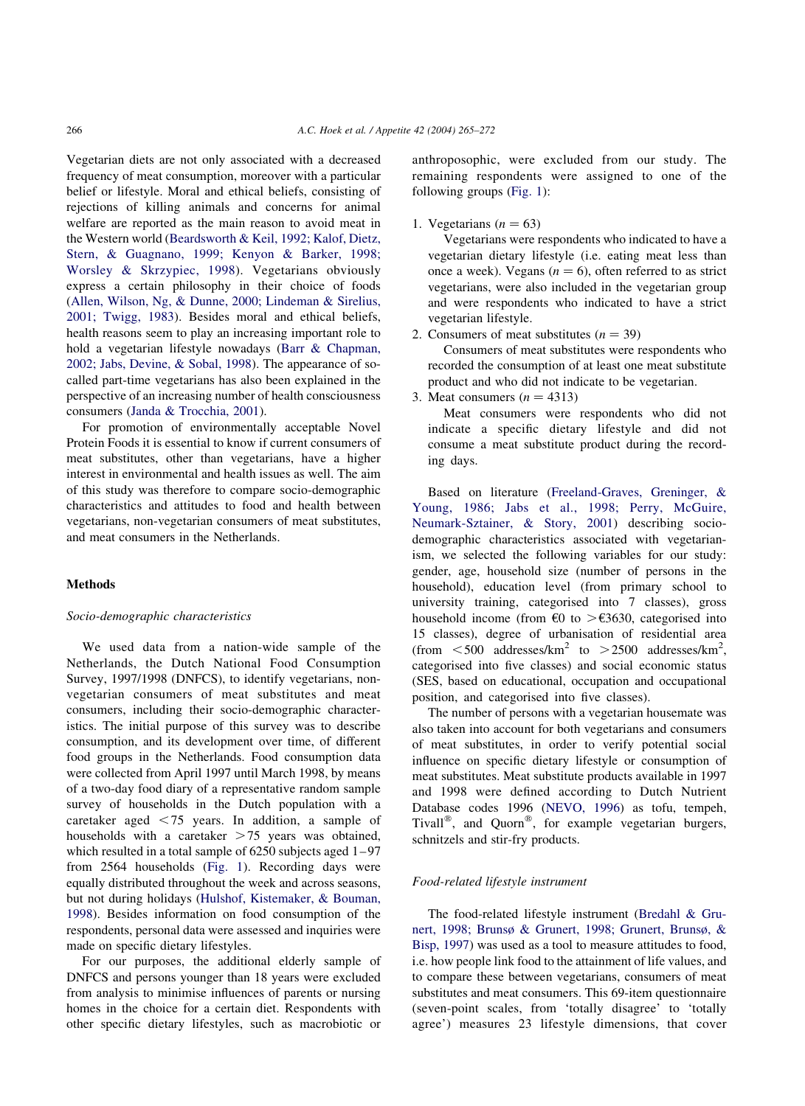Vegetarian diets are not only associated with a decreased frequency of meat consumption, moreover with a particular belief or lifestyle. Moral and ethical beliefs, consisting of rejections of killing animals and concerns for animal welfare are reported as the main reason to avoid meat in the Western world ([Beardsworth & Keil, 1992; Kalof, Dietz,](#page-6-0) [Stern, & Guagnano, 1999; Kenyon & Barker, 1998;](#page-6-0) [Worsley & Skrzypiec, 1998](#page-6-0)). Vegetarians obviously express a certain philosophy in their choice of foods ([Allen, Wilson, Ng, & Dunne, 2000; Lindeman & Sirelius,](#page-6-0) [2001; Twigg, 1983\)](#page-6-0). Besides moral and ethical beliefs, health reasons seem to play an increasing important role to hold a vegetarian lifestyle nowadays ([Barr & Chapman,](#page-6-0) [2002; Jabs, Devine, & Sobal, 1998\)](#page-6-0). The appearance of socalled part-time vegetarians has also been explained in the perspective of an increasing number of health consciousness consumers ([Janda & Trocchia, 2001](#page-6-0)).

For promotion of environmentally acceptable Novel Protein Foods it is essential to know if current consumers of meat substitutes, other than vegetarians, have a higher interest in environmental and health issues as well. The aim of this study was therefore to compare socio-demographic characteristics and attitudes to food and health between vegetarians, non-vegetarian consumers of meat substitutes, and meat consumers in the Netherlands.

# Methods

## Socio-demographic characteristics

We used data from a nation-wide sample of the Netherlands, the Dutch National Food Consumption Survey, 1997/1998 (DNFCS), to identify vegetarians, nonvegetarian consumers of meat substitutes and meat consumers, including their socio-demographic characteristics. The initial purpose of this survey was to describe consumption, and its development over time, of different food groups in the Netherlands. Food consumption data were collected from April 1997 until March 1998, by means of a two-day food diary of a representative random sample survey of households in the Dutch population with a caretaker aged  $\leq$  75 years. In addition, a sample of households with a caretaker  $>75$  years was obtained, which resulted in a total sample of 6250 subjects aged 1–97 from 2564 households ([Fig. 1](#page-2-0)). Recording days were equally distributed throughout the week and across seasons, but not during holidays ([Hulshof, Kistemaker, & Bouman,](#page-6-0) [1998\)](#page-6-0). Besides information on food consumption of the respondents, personal data were assessed and inquiries were made on specific dietary lifestyles.

For our purposes, the additional elderly sample of DNFCS and persons younger than 18 years were excluded from analysis to minimise influences of parents or nursing homes in the choice for a certain diet. Respondents with other specific dietary lifestyles, such as macrobiotic or

anthroposophic, were excluded from our study. The remaining respondents were assigned to one of the following groups ([Fig. 1\)](#page-2-0):

1. Vegetarians  $(n = 63)$ 

Vegetarians were respondents who indicated to have a vegetarian dietary lifestyle (i.e. eating meat less than once a week). Vegans  $(n = 6)$ , often referred to as strict vegetarians, were also included in the vegetarian group and were respondents who indicated to have a strict vegetarian lifestyle.

2. Consumers of meat substitutes  $(n = 39)$ 

Consumers of meat substitutes were respondents who recorded the consumption of at least one meat substitute product and who did not indicate to be vegetarian.

3. Meat consumers  $(n = 4313)$ 

Meat consumers were respondents who did not indicate a specific dietary lifestyle and did not consume a meat substitute product during the recording days.

Based on literature ([Freeland-Graves, Greninger, &](#page-6-0) [Young, 1986; Jabs et al., 1998; Perry, McGuire,](#page-6-0) [Neumark-Sztainer, & Story, 2001\)](#page-6-0) describing sociodemographic characteristics associated with vegetarianism, we selected the following variables for our study: gender, age, household size (number of persons in the household), education level (from primary school to university training, categorised into 7 classes), gross household income (from  $\epsilon$ 0 to  $>\epsilon$ 3630, categorised into 15 classes), degree of urbanisation of residential area (from  $\lt$  500 addresses/km<sup>2</sup> to  $>$  2500 addresses/km<sup>2</sup>, categorised into five classes) and social economic status (SES, based on educational, occupation and occupational position, and categorised into five classes).

The number of persons with a vegetarian housemate was also taken into account for both vegetarians and consumers of meat substitutes, in order to verify potential social influence on specific dietary lifestyle or consumption of meat substitutes. Meat substitute products available in 1997 and 1998 were defined according to Dutch Nutrient Database codes 1996 [\(NEVO, 1996\)](#page-6-0) as tofu, tempeh, Tivall<sup>®</sup>, and Quorn<sup>®</sup>, for example vegetarian burgers, schnitzels and stir-fry products.

# Food-related lifestyle instrument

The food-related lifestyle instrument ([Bredahl & Gru](#page-6-0)[nert, 1998; Brunsø & Grunert, 1998; Grunert, Brunsø, &](#page-6-0) [Bisp, 1997](#page-6-0)) was used as a tool to measure attitudes to food, i.e. how people link food to the attainment of life values, and to compare these between vegetarians, consumers of meat substitutes and meat consumers. This 69-item questionnaire (seven-point scales, from 'totally disagree' to 'totally agree') measures 23 lifestyle dimensions, that cover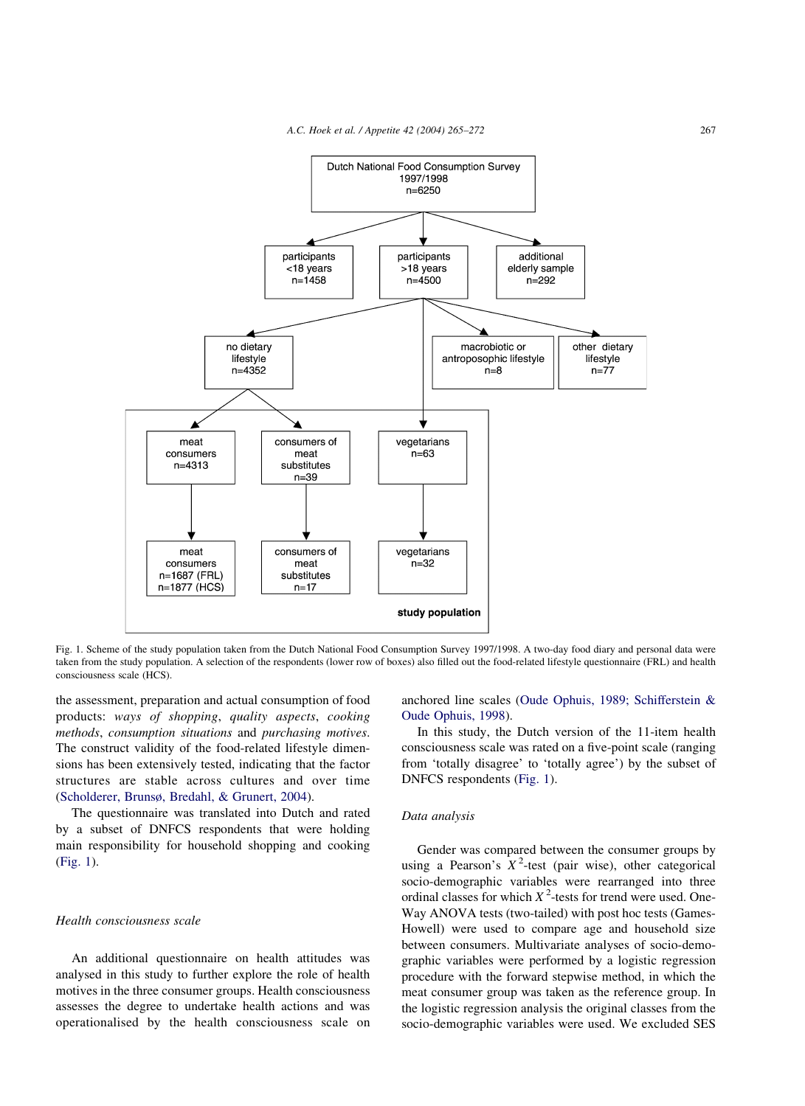<span id="page-2-0"></span>

Fig. 1. Scheme of the study population taken from the Dutch National Food Consumption Survey 1997/1998. A two-day food diary and personal data were taken from the study population. A selection of the respondents (lower row of boxes) also filled out the food-related lifestyle questionnaire (FRL) and health consciousness scale (HCS).

the assessment, preparation and actual consumption of food products: ways of shopping, quality aspects, cooking methods, consumption situations and purchasing motives. The construct validity of the food-related lifestyle dimensions has been extensively tested, indicating that the factor structures are stable across cultures and over time ([Scholderer, Brunsø, Bredahl, & Grunert, 2004\)](#page-7-0).

The questionnaire was translated into Dutch and rated by a subset of DNFCS respondents that were holding main responsibility for household shopping and cooking (Fig. 1).

#### Health consciousness scale

An additional questionnaire on health attitudes was analysed in this study to further explore the role of health motives in the three consumer groups. Health consciousness assesses the degree to undertake health actions and was operationalised by the health consciousness scale on anchored line scales ([Oude Ophuis, 1989; Schifferstein &](#page-6-0) [Oude Ophuis, 1998](#page-6-0)).

In this study, the Dutch version of the 11-item health consciousness scale was rated on a five-point scale (ranging from 'totally disagree' to 'totally agree') by the subset of DNFCS respondents (Fig. 1).

## Data analysis

Gender was compared between the consumer groups by using a Pearson's  $X^2$ -test (pair wise), other categorical socio-demographic variables were rearranged into three ordinal classes for which  $X^2$ -tests for trend were used. One-Way ANOVA tests (two-tailed) with post hoc tests (Games-Howell) were used to compare age and household size between consumers. Multivariate analyses of socio-demographic variables were performed by a logistic regression procedure with the forward stepwise method, in which the meat consumer group was taken as the reference group. In the logistic regression analysis the original classes from the socio-demographic variables were used. We excluded SES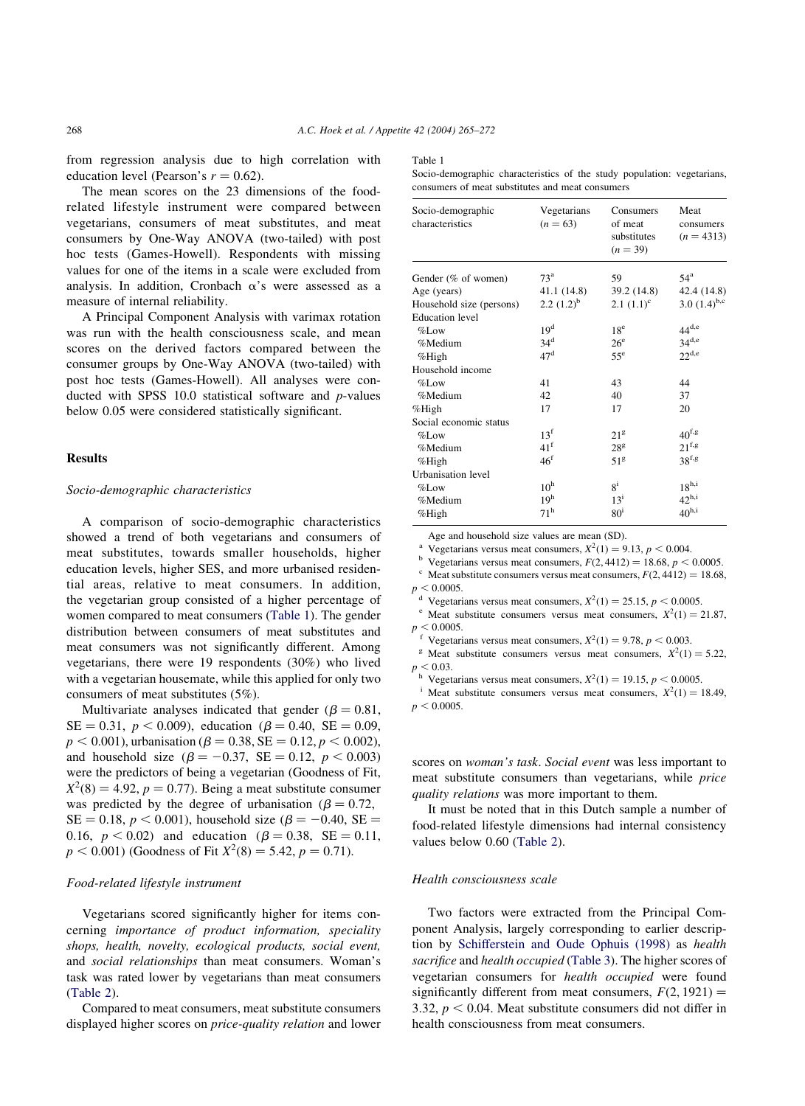from regression analysis due to high correlation with education level (Pearson's  $r = 0.62$ ).

The mean scores on the 23 dimensions of the foodrelated lifestyle instrument were compared between vegetarians, consumers of meat substitutes, and meat consumers by One-Way ANOVA (two-tailed) with post hoc tests (Games-Howell). Respondents with missing values for one of the items in a scale were excluded from analysis. In addition, Cronbach  $\alpha$ 's were assessed as a measure of internal reliability.

A Principal Component Analysis with varimax rotation was run with the health consciousness scale, and mean scores on the derived factors compared between the consumer groups by One-Way ANOVA (two-tailed) with post hoc tests (Games-Howell). All analyses were conducted with SPSS 10.0 statistical software and p-values below 0.05 were considered statistically significant.

## **Results**

#### Socio-demographic characteristics

A comparison of socio-demographic characteristics showed a trend of both vegetarians and consumers of meat substitutes, towards smaller households, higher education levels, higher SES, and more urbanised residential areas, relative to meat consumers. In addition, the vegetarian group consisted of a higher percentage of women compared to meat consumers (Table 1). The gender distribution between consumers of meat substitutes and meat consumers was not significantly different. Among vegetarians, there were 19 respondents (30%) who lived with a vegetarian housemate, while this applied for only two consumers of meat substitutes (5%).

Multivariate analyses indicated that gender ( $\beta = 0.81$ ,  $SE = 0.31, p < 0.009$ , education ( $\beta = 0.40$ ,  $SE = 0.09$ ,  $p < 0.001$ ), urbanisation ( $\beta = 0.38$ , SE = 0.12,  $p < 0.002$ ), and household size ( $\beta = -0.37$ , SE = 0.12, p < 0.003) were the predictors of being a vegetarian (Goodness of Fit,  $X^2(8) = 4.92$ ,  $p = 0.77$ ). Being a meat substitute consumer was predicted by the degree of urbanisation ( $\beta = 0.72$ ,  $SE = 0.18$ ,  $p < 0.001$ ), household size ( $\beta = -0.40$ ,  $SE =$ 0.16,  $p < 0.02$ ) and education ( $\beta = 0.38$ , SE = 0.11,  $p < 0.001$ ) (Goodness of Fit  $X^2(8) = 5.42$ ,  $p = 0.71$ ).

## Food-related lifestyle instrument

Vegetarians scored significantly higher for items concerning importance of product information, speciality shops, health, novelty, ecological products, social event, and social relationships than meat consumers. Woman's task was rated lower by vegetarians than meat consumers ([Table 2\)](#page-4-0).

Compared to meat consumers, meat substitute consumers displayed higher scores on price-quality relation and lower

#### Table 1

Socio-demographic characteristics of the study population: vegetarians, consumers of meat substitutes and meat consumers

| Socio-demographic<br>characteristics | Vegetarians<br>$(n = 63)$ | Consumers<br>of meat<br>substitutes<br>$(n = 39)$ | Meat<br>consumers<br>$(n = 4313)$ |
|--------------------------------------|---------------------------|---------------------------------------------------|-----------------------------------|
| Gender (% of women)                  | 73 <sup>a</sup>           | 59                                                | $54^{\rm a}$                      |
| Age (years)                          | 41.1 (14.8)               | 39.2 (14.8)                                       | 42.4 (14.8)                       |
| Household size (persons)             | $2.2 (1.2)^{b}$           | $2.1 \ (1.1)^c$                                   | 3.0 $(1.4)^{b,c}$                 |
| <b>Education</b> level               |                           |                                                   |                                   |
| $%$ Low                              | 19 <sup>d</sup>           | 18 <sup>e</sup>                                   | $44^{d,e}$                        |
| %Medium                              | 34 <sup>d</sup>           | $26^{\circ}$                                      | $34^{d,e}$                        |
| %High                                | 47 <sup>d</sup>           | $55^{\circ}$                                      | $22^{d,e}$                        |
| Household income                     |                           |                                                   |                                   |
| $%$ Low                              | 41                        | 43                                                | 44                                |
| %Medium                              | 42                        | 40                                                | 37                                |
| %High                                | 17                        | 17                                                | 20                                |
| Social economic status               |                           |                                                   |                                   |
| $%$ Low                              | $13^{\rm f}$              | 21 <sup>g</sup>                                   | $40^{\rm f,g}$                    |
| %Medium                              | 41 <sup>f</sup>           | $28^{\rm g}$                                      | $21^{f,g}$                        |
| %High                                | 46 <sup>f</sup>           | 51 <sup>g</sup>                                   | 38 <sup>f,g</sup>                 |
| Urbanisation level                   |                           |                                                   |                                   |
| $%$ Low                              | 10 <sup>h</sup>           | $8^{i}$                                           | $18^{\rm h,i}$                    |
| %Medium                              | 19 <sup>h</sup>           | $13^{\rm i}$                                      | $42^{h,i}$                        |
| %High                                | $71^h$                    | 80 <sup>i</sup>                                   | 40 <sup>h,i</sup>                 |

Age and household size values are mean (SD).<br>
<sup>a</sup> Vegetarians versus meat consumers,  $X^2(1) = 9.13$ ,  $p < 0.004$ .<br>
<sup>b</sup> Vegetarians versus meat consumers,  $F(2, 4412) = 18.68$ ,  $p < 0.0005$ .

<sup>c</sup> Meat substitute consumers versus meat consumers,  $F(2, 4412) = 18.68$ ,  $p < 0.0005$ .

<sup>d</sup> Vegetarians versus meat consumers,  $X^2(1) = 25.15$ ,  $p < 0.0005$ .<br>
e Meat substitute consumers versus meat consumers,  $X^2(1) = 21.87$ ;  $p < 0.0005$ .

<sup>f</sup> Vegetarians versus meat consumers,  $X^2(1) = 9.78$ ,  $p < 0.003$ .<br><sup>g</sup> Meat substitute consumers versus meat consumers,  $X^2(1) = 5.22$ ;  $p < 0.03$ .<br><sup>h</sup> Vegetarians versus meat consumers,  $X^2(1) = 19.15$ ,  $p < 0.0005$ .<br><sup>i</sup> Meat substitute consumers versus meat consumers,  $X^2(1) = 18.49$ ;

 $p < 0.0005$ .

scores on woman's task. Social event was less important to meat substitute consumers than vegetarians, while price quality relations was more important to them.

It must be noted that in this Dutch sample a number of food-related lifestyle dimensions had internal consistency values below 0.60 [\(Table 2](#page-4-0)).

## Health consciousness scale

Two factors were extracted from the Principal Component Analysis, largely corresponding to earlier description by [Schifferstein and Oude Ophuis \(1998\)](#page-7-0) as health sacrifice and health occupied ([Table 3](#page-5-0)). The higher scores of vegetarian consumers for health occupied were found significantly different from meat consumers,  $F(2, 1921) =$ 3.32,  $p < 0.04$ . Meat substitute consumers did not differ in health consciousness from meat consumers.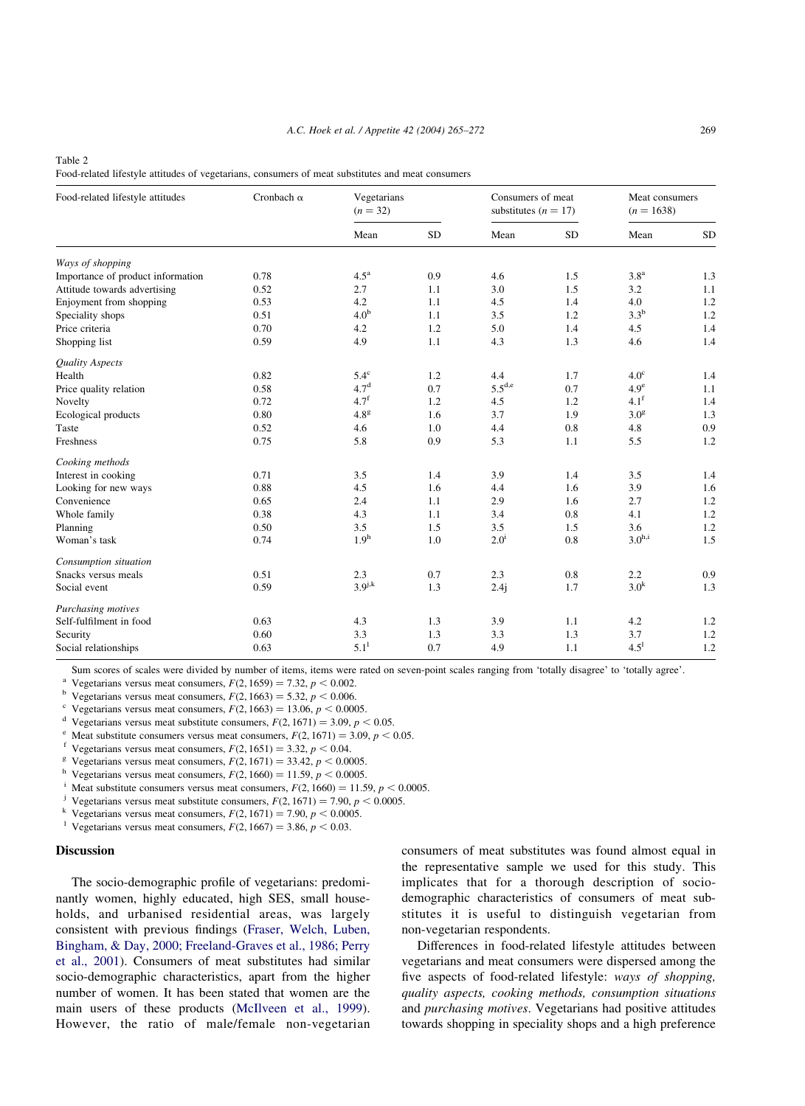#### <span id="page-4-0"></span>Table 2

| Food-related lifestyle attitudes of vegetarians, consumers of meat substitutes and meat consumers |  |  |  |
|---------------------------------------------------------------------------------------------------|--|--|--|
|                                                                                                   |  |  |  |

| Food-related lifestyle attitudes  | Cronbach $\alpha$ | Vegetarians<br>$(n = 32)$ |           | Consumers of meat<br>substitutes ( $n = 17$ ) |           | Meat consumers<br>$(n = 1638)$ |           |
|-----------------------------------|-------------------|---------------------------|-----------|-----------------------------------------------|-----------|--------------------------------|-----------|
|                                   |                   | Mean                      | <b>SD</b> | Mean                                          | <b>SD</b> | Mean                           | <b>SD</b> |
| Ways of shopping                  |                   |                           |           |                                               |           |                                |           |
| Importance of product information | 0.78              | $4.5^{\mathrm{a}}$        | 0.9       | 4.6                                           | 1.5       | 3.8 <sup>a</sup>               | 1.3       |
| Attitude towards advertising      | 0.52              | 2.7                       | 1.1       | 3.0                                           | 1.5       | 3.2                            | 1.1       |
| Enjoyment from shopping           | 0.53              | 4.2                       | 1.1       | 4.5                                           | 1.4       | 4.0                            | 1.2       |
| Speciality shops                  | 0.51              | 4.0 <sup>b</sup>          | 1.1       | 3.5                                           | 1.2       | $3.3^{\rm b}$                  | 1.2       |
| Price criteria                    | 0.70              | 4.2                       | 1.2       | 5.0                                           | 1.4       | 4.5                            | 1.4       |
| Shopping list                     | 0.59              | 4.9                       | 1.1       | 4.3                                           | 1.3       | 4.6                            | 1.4       |
| <b>Quality Aspects</b>            |                   |                           |           |                                               |           |                                |           |
| Health                            | 0.82              | $5.4^\circ$               | 1.2       | 4.4                                           | 1.7       | 4.0 <sup>c</sup>               | 1.4       |
| Price quality relation            | 0.58              | 4.7 <sup>d</sup>          | 0.7       | $5.5^{\mathrm{d,e}}$                          | 0.7       | 4.9 <sup>e</sup>               | 1.1       |
| Novelty                           | 0.72              | $4.7^{f}$                 | 1.2       | 4.5                                           | 1.2       | $4.1^{\rm f}$                  | 1.4       |
| Ecological products               | $0.80\,$          | 4.8 <sup>g</sup>          | 1.6       | 3.7                                           | 1.9       | 3.0 <sup>g</sup>               | 1.3       |
| Taste                             | 0.52              | 4.6                       | 1.0       | 4.4                                           | 0.8       | 4.8                            | 0.9       |
| Freshness                         | 0.75              | 5.8                       | 0.9       | 5.3                                           | 1.1       | 5.5                            | 1.2       |
| Cooking methods                   |                   |                           |           |                                               |           |                                |           |
| Interest in cooking               | 0.71              | 3.5                       | 1.4       | 3.9                                           | 1.4       | 3.5                            | 1.4       |
| Looking for new ways              | 0.88              | 4.5                       | 1.6       | 4.4                                           | 1.6       | 3.9                            | 1.6       |
| Convenience                       | 0.65              | 2.4                       | 1.1       | 2.9                                           | 1.6       | 2.7                            | 1.2       |
| Whole family                      | 0.38              | 4.3                       | 1.1       | 3.4                                           | 0.8       | 4.1                            | 1.2       |
| Planning                          | 0.50              | 3.5                       | 1.5       | 3.5                                           | 1.5       | 3.6                            | 1.2       |
| Woman's task                      | 0.74              | 1.9 <sup>h</sup>          | 1.0       | $2.0^{\rm i}$                                 | 0.8       | $3.0^{h,i}$                    | 1.5       |
| Consumption situation             |                   |                           |           |                                               |           |                                |           |
| Snacks versus meals               | 0.51              | 2.3                       | 0.7       | 2.3                                           | 0.8       | 2.2                            | 0.9       |
| Social event                      | 0.59              | $3.9^{j,k}$               | 1.3       | 2.4j                                          | 1.7       | 3.0 <sup>k</sup>               | 1.3       |
| Purchasing motives                |                   |                           |           |                                               |           |                                |           |
| Self-fulfilment in food           | 0.63              | 4.3                       | 1.3       | 3.9                                           | 1.1       | 4.2                            | 1.2       |
| Security                          | 0.60              | 3.3                       | 1.3       | 3.3                                           | 1.3       | 3.7                            | $1.2$     |
| Social relationships              | 0.63              | 5.1 <sup>1</sup>          | 0.7       | 4.9                                           | 1.1       | $4.5^{1}$                      | 1.2       |

Sum scores of scales were divided by number of items, items were rated on seven-point scales ranging from 'totally disagree' to 'totally agree'.<br>
<sup>a</sup> Vegetarians versus meat consumers,  $F(2, 1659) = 7.32$ ,  $p < 0.002$ .<br>
<sup>b</sup>

<sup>d</sup> Vegetarians versus meat substitute consumers,  $F(2, 1671) = 3.09$ ,  $p < 0.05$ .<br>
<sup>e</sup> Meat substitute consumers versus meat consumers,  $F(2, 1671) = 3.09$ ,  $p < 0.05$ .<br>
<sup>f</sup> Vegetarians versus meat consumers,  $F(2, 1651) = 3.$ 

<sup>h</sup> Vegetarians versus meat consumers,  $F(2, 1660) = 11.59$ ,  $p < 0.0005$ .<br>
<sup>i</sup> Meat substitute consumers versus meat consumers,  $F(2, 1660) = 11.59$ ,  $p < 0.0005$ .<br>
<sup>j</sup> Vegetarians versus meat substitute consumers,  $F(2, 167$ 

k Vegetarians versus meat consumers,  $F(2, 1671) = 7.90$ ,  $p < 0.0005$ .<br><sup>1</sup> Vegetarians versus meat consumers,  $F(2, 1667) = 3.86$ ,  $p < 0.03$ .

#### **Discussion**

The socio-demographic profile of vegetarians: predominantly women, highly educated, high SES, small households, and urbanised residential areas, was largely consistent with previous findings [\(Fraser, Welch, Luben,](#page-6-0) [Bingham, & Day, 2000; Freeland-Graves et al., 1986; Perry](#page-6-0) [et al., 2001](#page-6-0)). Consumers of meat substitutes had similar socio-demographic characteristics, apart from the higher number of women. It has been stated that women are the main users of these products ([McIlveen et al., 1999\)](#page-6-0). However, the ratio of male/female non-vegetarian

consumers of meat substitutes was found almost equal in the representative sample we used for this study. This implicates that for a thorough description of sociodemographic characteristics of consumers of meat substitutes it is useful to distinguish vegetarian from non-vegetarian respondents.

Differences in food-related lifestyle attitudes between vegetarians and meat consumers were dispersed among the five aspects of food-related lifestyle: ways of shopping, quality aspects, cooking methods, consumption situations and purchasing motives. Vegetarians had positive attitudes towards shopping in speciality shops and a high preference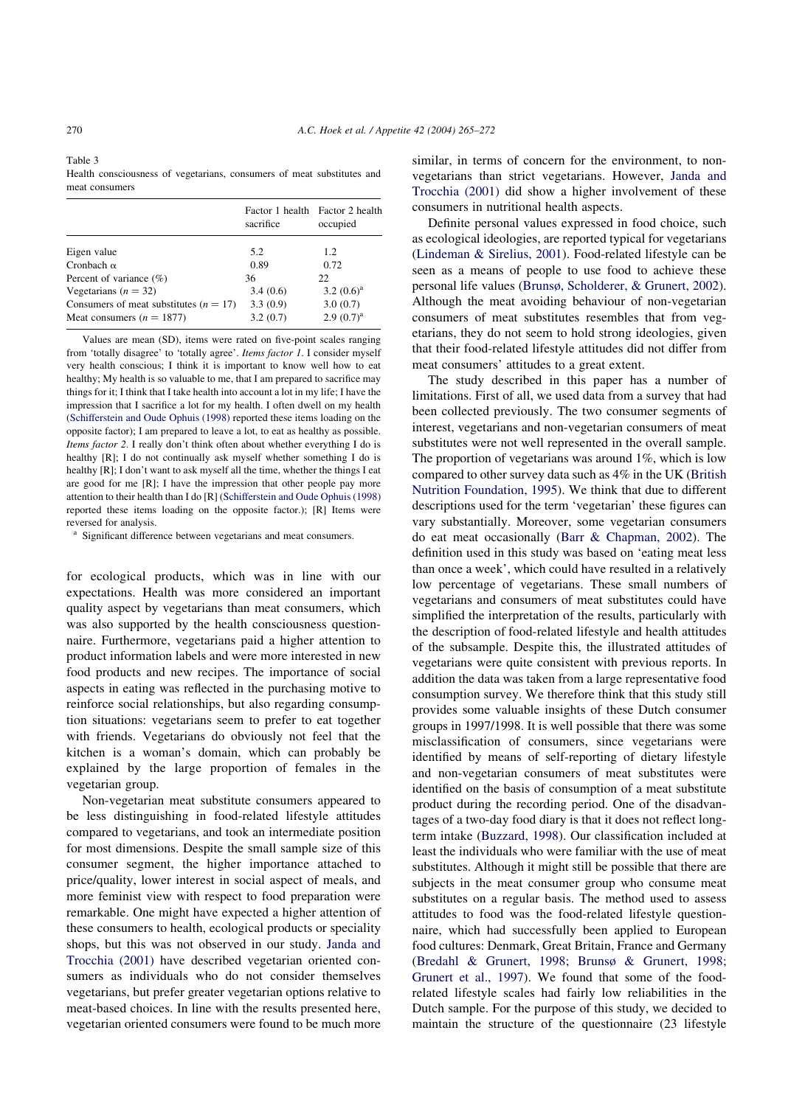<span id="page-5-0"></span>Table 3 Health consciousness of vegetarians, consumers of meat substitutes and meat consumers

| sacrifice | Factor 1 health Factor 2 health<br>occupied |
|-----------|---------------------------------------------|
| 5.2       | 1.2                                         |
| 0.89      | 0.72                                        |
| 36        | 22.                                         |
| 3.4(0.6)  | 3.2 $(0.6)^a$                               |
| 3.3(0.9)  | 3.0(0.7)                                    |
| 3.2(0.7)  | $2.9(0.7)^{a}$                              |
|           |                                             |

Values are mean (SD), items were rated on five-point scales ranging from 'totally disagree' to 'totally agree'. Items factor 1. I consider myself very health conscious; I think it is important to know well how to eat healthy; My health is so valuable to me, that I am prepared to sacrifice may things for it; I think that I take health into account a lot in my life; I have the impression that I sacrifice a lot for my health. I often dwell on my health [\(Schifferstein and Oude Ophuis \(1998\)](#page-7-0) reported these items loading on the opposite factor); I am prepared to leave a lot, to eat as healthy as possible. Items factor 2. I really don't think often about whether everything I do is healthy [R]; I do not continually ask myself whether something I do is healthy [R]; I don't want to ask myself all the time, whether the things I eat are good for me [R]; I have the impression that other people pay more attention to their health than I do [R] ([Schifferstein and Oude Ophuis \(1998\)](#page-7-0) reported these items loading on the opposite factor.); [R] Items were reversed for analysis.

Significant difference between vegetarians and meat consumers.

for ecological products, which was in line with our expectations. Health was more considered an important quality aspect by vegetarians than meat consumers, which was also supported by the health consciousness questionnaire. Furthermore, vegetarians paid a higher attention to product information labels and were more interested in new food products and new recipes. The importance of social aspects in eating was reflected in the purchasing motive to reinforce social relationships, but also regarding consumption situations: vegetarians seem to prefer to eat together with friends. Vegetarians do obviously not feel that the kitchen is a woman's domain, which can probably be explained by the large proportion of females in the vegetarian group.

Non-vegetarian meat substitute consumers appeared to be less distinguishing in food-related lifestyle attitudes compared to vegetarians, and took an intermediate position for most dimensions. Despite the small sample size of this consumer segment, the higher importance attached to price/quality, lower interest in social aspect of meals, and more feminist view with respect to food preparation were remarkable. One might have expected a higher attention of these consumers to health, ecological products or speciality shops, but this was not observed in our study. [Janda and](#page-6-0) [Trocchia \(2001\)](#page-6-0) have described vegetarian oriented consumers as individuals who do not consider themselves vegetarians, but prefer greater vegetarian options relative to meat-based choices. In line with the results presented here, vegetarian oriented consumers were found to be much more

similar, in terms of concern for the environment, to nonvegetarians than strict vegetarians. However, [Janda and](#page-6-0) [Trocchia \(2001\)](#page-6-0) did show a higher involvement of these consumers in nutritional health aspects.

Definite personal values expressed in food choice, such as ecological ideologies, are reported typical for vegetarians ([Lindeman & Sirelius, 2001\)](#page-6-0). Food-related lifestyle can be seen as a means of people to use food to achieve these personal life values ([Brunsø, Scholderer, & Grunert, 2002\)](#page-6-0). Although the meat avoiding behaviour of non-vegetarian consumers of meat substitutes resembles that from vegetarians, they do not seem to hold strong ideologies, given that their food-related lifestyle attitudes did not differ from meat consumers' attitudes to a great extent.

The study described in this paper has a number of limitations. First of all, we used data from a survey that had been collected previously. The two consumer segments of interest, vegetarians and non-vegetarian consumers of meat substitutes were not well represented in the overall sample. The proportion of vegetarians was around 1%, which is low compared to other survey data such as 4% in the UK ([British](#page-6-0) [Nutrition Foundation, 1995](#page-6-0)). We think that due to different descriptions used for the term 'vegetarian' these figures can vary substantially. Moreover, some vegetarian consumers do eat meat occasionally ([Barr & Chapman, 2002\)](#page-6-0). The definition used in this study was based on 'eating meat less than once a week', which could have resulted in a relatively low percentage of vegetarians. These small numbers of vegetarians and consumers of meat substitutes could have simplified the interpretation of the results, particularly with the description of food-related lifestyle and health attitudes of the subsample. Despite this, the illustrated attitudes of vegetarians were quite consistent with previous reports. In addition the data was taken from a large representative food consumption survey. We therefore think that this study still provides some valuable insights of these Dutch consumer groups in 1997/1998. It is well possible that there was some misclassification of consumers, since vegetarians were identified by means of self-reporting of dietary lifestyle and non-vegetarian consumers of meat substitutes were identified on the basis of consumption of a meat substitute product during the recording period. One of the disadvantages of a two-day food diary is that it does not reflect longterm intake [\(Buzzard, 1998](#page-6-0)). Our classification included at least the individuals who were familiar with the use of meat substitutes. Although it might still be possible that there are subjects in the meat consumer group who consume meat substitutes on a regular basis. The method used to assess attitudes to food was the food-related lifestyle questionnaire, which had successfully been applied to European food cultures: Denmark, Great Britain, France and Germany ([Bredahl & Grunert, 1998; Brunsø & Grunert, 1998;](#page-6-0) [Grunert et al., 1997](#page-6-0)). We found that some of the foodrelated lifestyle scales had fairly low reliabilities in the Dutch sample. For the purpose of this study, we decided to maintain the structure of the questionnaire (23 lifestyle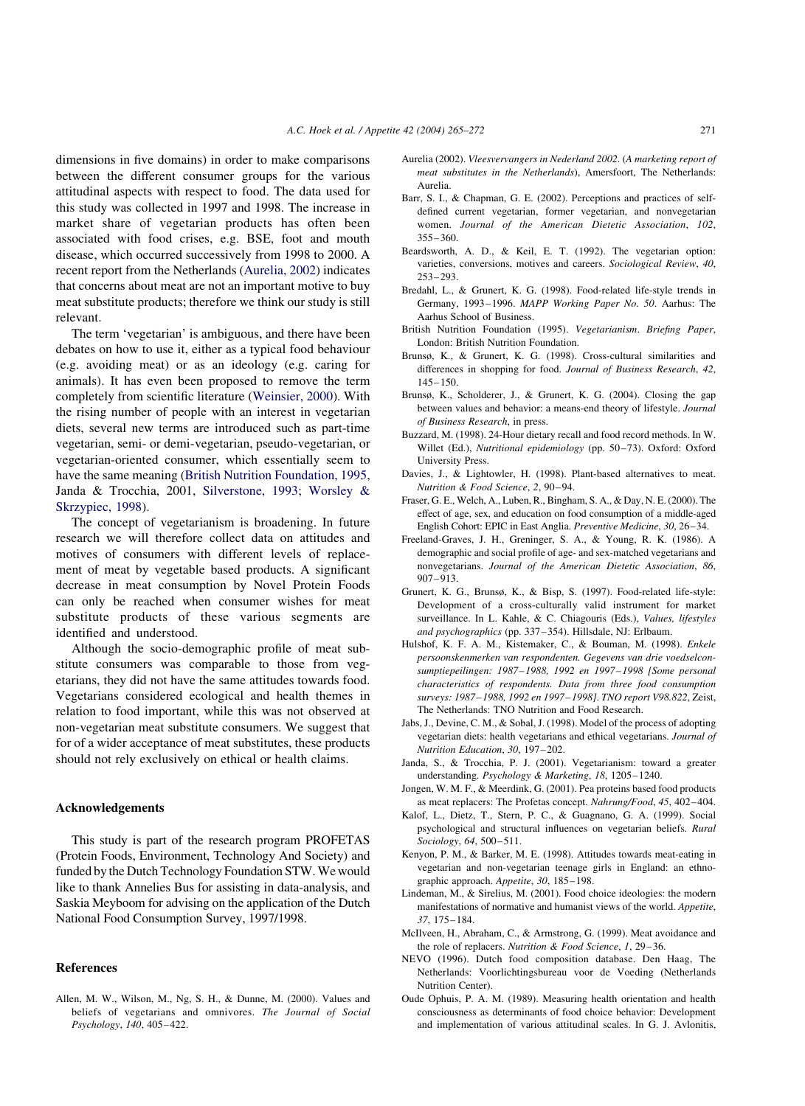<span id="page-6-0"></span>dimensions in five domains) in order to make comparisons between the different consumer groups for the various attitudinal aspects with respect to food. The data used for this study was collected in 1997 and 1998. The increase in market share of vegetarian products has often been associated with food crises, e.g. BSE, foot and mouth disease, which occurred successively from 1998 to 2000. A recent report from the Netherlands (Aurelia, 2002) indicates that concerns about meat are not an important motive to buy meat substitute products; therefore we think our study is still relevant.

The term 'vegetarian' is ambiguous, and there have been debates on how to use it, either as a typical food behaviour (e.g. avoiding meat) or as an ideology (e.g. caring for animals). It has even been proposed to remove the term completely from scientific literature [\(Weinsier, 2000](#page-7-0)). With the rising number of people with an interest in vegetarian diets, several new terms are introduced such as part-time vegetarian, semi- or demi-vegetarian, pseudo-vegetarian, or vegetarian-oriented consumer, which essentially seem to have the same meaning (British Nutrition Foundation, 1995, Janda & Trocchia, 2001, [Silverstone, 1993; Worsley &](#page-7-0) [Skrzypiec, 1998\)](#page-7-0).

The concept of vegetarianism is broadening. In future research we will therefore collect data on attitudes and motives of consumers with different levels of replacement of meat by vegetable based products. A significant decrease in meat consumption by Novel Protein Foods can only be reached when consumer wishes for meat substitute products of these various segments are identified and understood.

Although the socio-demographic profile of meat substitute consumers was comparable to those from vegetarians, they did not have the same attitudes towards food. Vegetarians considered ecological and health themes in relation to food important, while this was not observed at non-vegetarian meat substitute consumers. We suggest that for of a wider acceptance of meat substitutes, these products should not rely exclusively on ethical or health claims.

### Acknowledgements

This study is part of the research program PROFETAS (Protein Foods, Environment, Technology And Society) and funded by the Dutch Technology Foundation STW. We would like to thank Annelies Bus for assisting in data-analysis, and Saskia Meyboom for advising on the application of the Dutch National Food Consumption Survey, 1997/1998.

#### References

Allen, M. W., Wilson, M., Ng, S. H., & Dunne, M. (2000). Values and beliefs of vegetarians and omnivores. The Journal of Social Psychology, 140, 405–422.

- Aurelia (2002). Vleesvervangers in Nederland 2002. (A marketing report of meat substitutes in the Netherlands), Amersfoort, The Netherlands: Aurelia.
- Barr, S. I., & Chapman, G. E. (2002). Perceptions and practices of selfdefined current vegetarian, former vegetarian, and nonvegetarian women. Journal of the American Dietetic Association, 102, 355–360.
- Beardsworth, A. D., & Keil, E. T. (1992). The vegetarian option: varieties, conversions, motives and careers. Sociological Review, 40, 253–293.
- Bredahl, L., & Grunert, K. G. (1998). Food-related life-style trends in Germany, 1993–1996. MAPP Working Paper No. 50. Aarhus: The Aarhus School of Business.
- British Nutrition Foundation (1995). Vegetarianism. Briefing Paper, London: British Nutrition Foundation.
- Brunsø, K., & Grunert, K. G. (1998). Cross-cultural similarities and differences in shopping for food. Journal of Business Research, 42, 145–150.
- Brunsø, K., Scholderer, J., & Grunert, K. G. (2004). Closing the gap between values and behavior: a means-end theory of lifestyle. Journal of Business Research, in press.
- Buzzard, M. (1998). 24-Hour dietary recall and food record methods. In W. Willet (Ed.), Nutritional epidemiology (pp. 50–73). Oxford: Oxford University Press.
- Davies, J., & Lightowler, H. (1998). Plant-based alternatives to meat. Nutrition & Food Science, 2, 90–94.
- Fraser, G. E., Welch, A., Luben, R., Bingham, S. A., & Day, N. E. (2000). The effect of age, sex, and education on food consumption of a middle-aged English Cohort: EPIC in East Anglia. Preventive Medicine, 30, 26–34.
- Freeland-Graves, J. H., Greninger, S. A., & Young, R. K. (1986). A demographic and social profile of age- and sex-matched vegetarians and nonvegetarians. Journal of the American Dietetic Association, 86, 907–913.
- Grunert, K. G., Brunsø, K., & Bisp, S. (1997). Food-related life-style: Development of a cross-culturally valid instrument for market surveillance. In L. Kahle, & C. Chiagouris (Eds.), Values, lifestyles and psychographics (pp. 337–354). Hillsdale, NJ: Erlbaum.
- Hulshof, K. F. A. M., Kistemaker, C., & Bouman, M. (1998). Enkele persoonskenmerken van respondenten. Gegevens van drie voedselconsumptiepeilingen: 1987–1988, 1992 en 1997–1998 [Some personal characteristics of respondents. Data from three food consumption surveys: 1987–1988, 1992 en 1997–1998]. TNO report V98.822, Zeist, The Netherlands: TNO Nutrition and Food Research.
- Jabs, J., Devine, C. M., & Sobal, J. (1998). Model of the process of adopting vegetarian diets: health vegetarians and ethical vegetarians. Journal of Nutrition Education, 30, 197–202.
- Janda, S., & Trocchia, P. J. (2001). Vegetarianism: toward a greater understanding. Psychology & Marketing, 18, 1205–1240.
- Jongen, W. M. F., & Meerdink, G. (2001). Pea proteins based food products as meat replacers: The Profetas concept. Nahrung/Food, 45, 402–404.
- Kalof, L., Dietz, T., Stern, P. C., & Guagnano, G. A. (1999). Social psychological and structural influences on vegetarian beliefs. Rural Sociology, 64, 500–511.
- Kenyon, P. M., & Barker, M. E. (1998). Attitudes towards meat-eating in vegetarian and non-vegetarian teenage girls in England: an ethnographic approach. Appetite, 30, 185–198.
- Lindeman, M., & Sirelius, M. (2001). Food choice ideologies: the modern manifestations of normative and humanist views of the world. Appetite, 37, 175–184.
- McIlveen, H., Abraham, C., & Armstrong, G. (1999). Meat avoidance and the role of replacers. Nutrition & Food Science, 1, 29-36.
- NEVO (1996). Dutch food composition database. Den Haag, The Netherlands: Voorlichtingsbureau voor de Voeding (Netherlands Nutrition Center).
- Oude Ophuis, P. A. M. (1989). Measuring health orientation and health consciousness as determinants of food choice behavior: Development and implementation of various attitudinal scales. In G. J. Avlonitis,